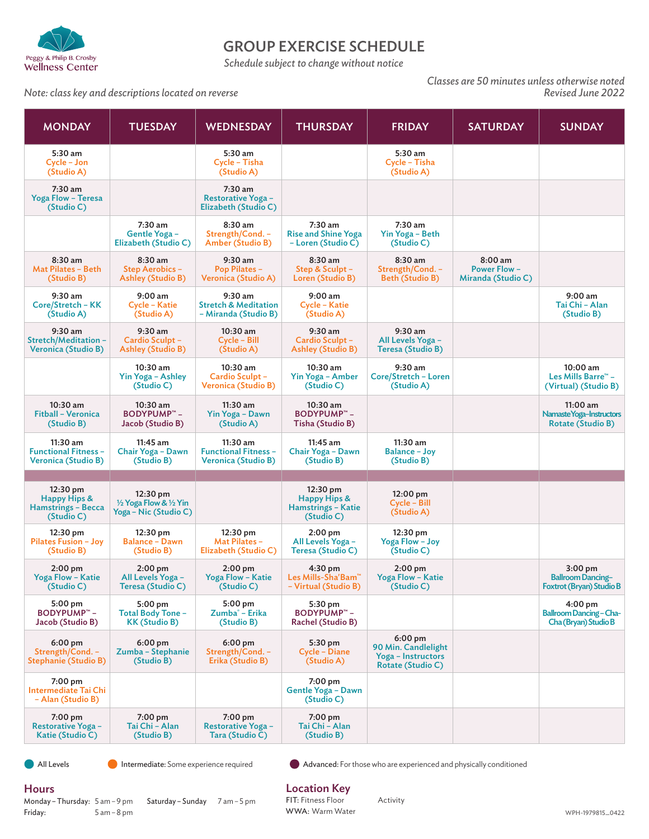

## GROUP EXERCISE SCHEDULE

*Schedule subject to change without notice*

### *Note: class key and descriptions located on reverse*

*Classes are 50 minutes unless otherwise noted*

| <b>MONDAY</b>                                                         | <b>TUESDAY</b>                                                  | <b>WEDNESDAY</b>                                                        | <b>THURSDAY</b>                                                     | <b>FRIDAY</b>                                                               | <b>SATURDAY</b>                                     | <b>SUNDAY</b>                                                             |
|-----------------------------------------------------------------------|-----------------------------------------------------------------|-------------------------------------------------------------------------|---------------------------------------------------------------------|-----------------------------------------------------------------------------|-----------------------------------------------------|---------------------------------------------------------------------------|
| 5:30 am<br>Cycle - Jon<br>(Studio A)                                  |                                                                 | 5:30 am<br>Cycle - Tisha<br>(Studio A)                                  |                                                                     | 5:30 am<br>Cycle - Tisha<br>(Studio A)                                      |                                                     |                                                                           |
| 7:30 am<br><b>Yoga Flow - Teresa</b><br>(Studio C)                    |                                                                 | $7:30$ am<br><b>Restorative Yoga -</b><br>Elizabeth (Studio C)          |                                                                     |                                                                             |                                                     |                                                                           |
|                                                                       | 7:30 am<br>Gentle Yoga -<br>Elizabeth (Studio C)                | 8:30 am<br>Strength/Cond. -<br>Amber (Studio B)                         | 7:30 am<br><b>Rise and Shine Yoga</b><br>- Loren (Studio C)         | 7:30 am<br>Yin Yoga - Beth<br>(Studio C)                                    |                                                     |                                                                           |
| $8:30$ am<br><b>Mat Pilates - Beth</b><br>(Studio B)                  | $8:30$ am<br><b>Step Aerobics -</b><br><b>Ashley (Studio B)</b> | 9:30 am<br><b>Pop Pilates -</b><br>Veronica (Studio A)                  | 8:30 am<br>Step & Sculpt -<br>Loren (Studio B)                      | 8:30 am<br>Strength/Cond. -<br><b>Beth (Studio B)</b>                       | 8:00 am<br><b>Power Flow-</b><br>Miranda (Studio C) |                                                                           |
| 9:30 am<br>Core/Stretch - KK<br>(Studio A)                            | 9:00 am<br>Cycle - Katie<br>(Studio A)                          | $9:30$ am<br><b>Stretch &amp; Meditation</b><br>- Miranda (Studio B)    | 9:00 am<br>Cycle - Katie<br>(Studio A)                              |                                                                             |                                                     | 9:00 am<br>Tai Chi - Alan<br>(Studio B)                                   |
| 9:30 am<br>Stretch/Meditation -<br><b>Veronica (Studio B)</b>         | 9:30 am<br>Cardio Sculpt -<br><b>Ashley (Studio B)</b>          | $10:30$ am<br>Cycle – Bill<br>(Studio A)                                | 9:30 am<br>Cardio Sculpt -<br><b>Ashley (Studio B)</b>              | 9:30 am<br>All Levels Yoga -<br><b>Teresa (Studio B)</b>                    |                                                     |                                                                           |
|                                                                       | 10:30 am<br>Yin Yoga - Ashley<br>(Studio C)                     | 10:30 am<br>Cardio Sculpt -<br><b>Veronica (Studio B)</b>               | 10:30 am<br>Yin Yoga - Amber<br>(Studio C)                          | $9:30$ am<br>Core/Stretch - Loren<br>(Studio A)                             |                                                     | 10:00 am<br>Les Mills Barre™ -<br>(Virtual) (Studio B)                    |
| 10:30 am<br>Fitball - Veronica<br>(Studio B)                          | $10:30$ am<br><b>BODYPUMP™-</b><br>Jacob (Studio B)             | 11:30 am<br>Yin Yoga - Dawn<br>(Studio A)                               | 10:30 am<br><b>BODYPUMP™-</b><br>Tisha (Studio B)                   |                                                                             |                                                     | $11:00$ am<br>Namaste Yoga-Instructors<br><b>Rotate (Studio B)</b>        |
| 11:30 am<br><b>Functional Fitness -</b><br><b>Veronica (Studio B)</b> | $11:45$ am<br>Chair Yoga - Dawn<br>(Studio B)                   | $11:30$ am<br><b>Functional Fitness -</b><br><b>Veronica (Studio B)</b> | $11:45$ am<br>Chair Yoga - Dawn<br>(Studio B)                       | 11:30 am<br><b>Balance - Joy</b><br>(Studio B)                              |                                                     |                                                                           |
|                                                                       |                                                                 |                                                                         |                                                                     |                                                                             |                                                     |                                                                           |
| 12:30 pm<br>Happy Hips &<br><b>Hamstrings - Becca</b><br>(Studio C)   | 12:30 pm<br>1/2 Yoga Flow & 1/2 Yin<br>Yoga - Nic (Studio C)    |                                                                         | 12:30 pm<br>Happy Hips &<br><b>Hamstrings - Katie</b><br>(Studio C) | $12:00 \text{ pm}$<br>Cycle - Bill<br>(Studio A)                            |                                                     |                                                                           |
| 12:30 pm<br>Pilates Fusion - Joy<br>(Studio B)                        | 12:30 pm<br><b>Balance - Dawn</b><br>(Studio B)                 | 12:30 pm<br>Mat Pilates -<br>Elizabeth (Studio C)                       | $2:00 \text{ pm}$<br>All Levels Yoga -<br>Teresa (Studio C)         | 12:30 pm<br>Yoga Flow - Joy<br>(Studio C)                                   |                                                     |                                                                           |
| $2:00 \text{ pm}$<br>Yoga Flow - Katie<br>(Studio C)                  | $2:00 \text{ pm}$<br>All Levels Yoga -<br>Teresa (Studio C)     | $2:00 \text{ pm}$<br><b>Yoga Flow - Katie</b><br>(Studio C)             | $4:30 \text{ pm}$<br>Les Mills-Sha'Bam™<br>- Virtual (Studio B)     | $2:00 \text{ pm}$<br><b>Yoga Flow - Katie</b><br>(Studio C)                 |                                                     | $3:00$ pm<br><b>Ballroom Dancing-</b><br>Foxtrot (Bryan) Studio B         |
| 5:00 pm<br><b>BODYPUMP™-</b><br>Jacob (Studio B)                      | $5:00$ pm<br><b>Total Body Tone -</b><br><b>KK (Studio B)</b>   | 5:00 pm<br>Zumba <sup>®</sup> - Erika<br>(Studio B)                     | 5:30 pm<br><b>BODYPUMP™-</b><br><b>Rachel (Studio B)</b>            |                                                                             |                                                     | $4:00 \text{ pm}$<br><b>Ballroom Dancing-Cha-</b><br>Cha (Bryan) Studio B |
| $6:00$ pm<br>Strength/Cond. -<br><b>Stephanie (Studio B)</b>          | 6:00 pm<br>Zumba - Stephanie<br>(Studio B)                      | 6:00 pm<br>Strength/Cond. -<br>Erika (Studio B)                         | 5:30 pm<br>Cycle - Diane<br>(Studio A)                              | $6:00$ pm<br>90 Min. Candlelight<br>Yoga – Instructors<br>Rotate (Studio C) |                                                     |                                                                           |
| 7:00 pm<br><b>Intermediate Tai Chi</b><br>- Alan (Studio B)           |                                                                 |                                                                         | 7:00 pm<br>Gentle Yoga - Dawn<br>(Studio C)                         |                                                                             |                                                     |                                                                           |
| 7:00 pm<br><b>Restorative Yoga -</b><br>Katie (Studio C)              | $7:00 \text{ pm}$<br>Tai Chi - Alan<br>(Studio B)               | 7:00 pm<br><b>Restorative Yoga -</b><br>Tara (Studio C)                 | 7:00 pm<br>Tai Chi - Alan<br>(Studio B)                             |                                                                             |                                                     |                                                                           |

**All Levels** Intermediate: Some experience required Advanced: For those who are experienced and physically conditioned

### **Hours**

Monday – Thursday: 5 am – 9 pm Friday: 5 am – 8 pm Saturday – Sunday 7 am – 5 pm Location Key

FIT: Fitness Floor WWA: Warm Water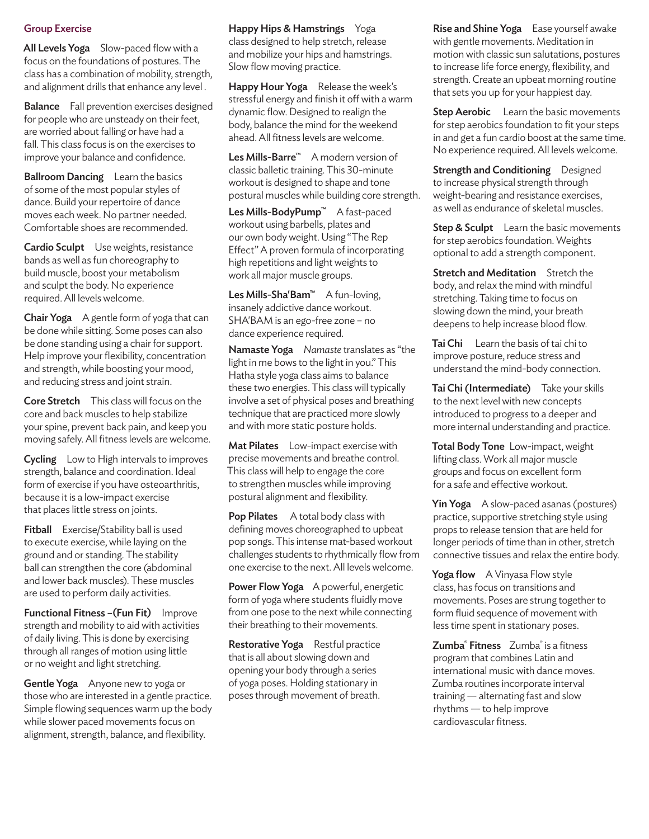### Group Exercise

All Levels Yoga Slow-paced flow with a focus on the foundations of postures. The class has a combination of mobility, strength, and alignment drills that enhance any level .

Balance Fall prevention exercises designed for people who are unsteady on their feet, are worried about falling or have had a fall. This class focus is on the exercises to improve your balance and confidence.

Ballroom Dancing Learn the basics of some of the most popular styles of dance. Build your repertoire of dance moves each week. No partner needed. Comfortable shoes are recommended.

Cardio Sculpt Use weights, resistance bands as well as fun choreography to build muscle, boost your metabolism and sculpt the body. No experience required. All levels welcome.

**Chair Yoga** A gentle form of yoga that can be done while sitting. Some poses can also be done standing using a chair for support. Help improve your flexibility, concentration and strength, while boosting your mood, and reducing stress and joint strain.

Core Stretch This class will focus on the core and back muscles to help stabilize your spine, prevent back pain, and keep you moving safely. All fitness levels are welcome.

Cycling Low to High intervals to improves strength, balance and coordination. Ideal form of exercise if you have osteoarthritis, because it is a low-impact exercise that places little stress on joints.

Fitball Exercise/Stability ball is used to execute exercise, while laying on the ground and or standing. The stability ball can strengthen the core (abdominal and lower back muscles). These muscles are used to perform daily activities.

Functional Fitness -(Fun Fit) Improve strength and mobility to aid with activities of daily living. This is done by exercising through all ranges of motion using little or no weight and light stretching.

Gentle Yoga Anyone new to yoga or those who are interested in a gentle practice. Simple flowing sequences warm up the body while slower paced movements focus on alignment, strength, balance, and flexibility.

Happy Hips & Hamstrings Yoga class designed to help stretch, release and mobilize your hips and hamstrings. Slow flow moving practice.

Happy Hour Yoga Release the week's stressful energy and finish it off with a warm dynamic flow. Designed to realign the body, balance the mind for the weekend ahead. All fitness levels are welcome.

Les Mills-Barre™ A modern version of classic balletic training. This 30-minute workout is designed to shape and tone postural muscles while building core strength.

Les Mills-BodyPump™ A fast-paced workout using barbells, plates and our own body weight. Using "The Rep Effect" A proven formula of incorporating high repetitions and light weights to work all major muscle groups.

Les Mills-Sha'Bam<sup>™</sup> A fun-loving, insanely addictive dance workout. SHA'BAM is an ego-free zone – no dance experience required.

Namaste Yoga *Namaste* translates as "the light in me bows to the light in you." This Hatha style yoga class aims to balance these two energies. This class will typically involve a set of physical poses and breathing technique that are practiced more slowly and with more static posture holds.

Mat Pilates Low-impact exercise with precise movements and breathe control. This class will help to engage the core to strengthen muscles while improving postural alignment and flexibility.

Pop Pilates A total body class with defining moves choreographed to upbeat pop songs. This intense mat-based workout challenges students to rhythmically flow from one exercise to the next. All levels welcome.

Power Flow Yoga A powerful, energetic form of yoga where students fluidly move from one pose to the next while connecting their breathing to their movements.

Restorative Yoga Restful practice that is all about slowing down and opening your body through a series of yoga poses. Holding stationary in poses through movement of breath.

Rise and Shine Yoga Ease yourself awake with gentle movements. Meditation in motion with classic sun salutations, postures to increase life force energy, flexibility, and strength. Create an upbeat morning routine that sets you up for your happiest day.

Step Aerobic Learn the basic movements for step aerobics foundation to fit your steps in and get a fun cardio boost at the same time. No experience required. All levels welcome.

Strength and Conditioning Designed to increase physical strength through weight-bearing and resistance exercises, as well as endurance of skeletal muscles.

Step & Sculpt Learn the basic movements for step aerobics foundation. Weights optional to add a strength component.

**Stretch and Meditation** Stretch the body, and relax the mind with mindful stretching. Taking time to focus on slowing down the mind, your breath deepens to help increase blood flow.

Tai Chi Learn the basis of tai chi to improve posture, reduce stress and understand the mind-body connection.

Tai Chi (Intermediate) Take your skills to the next level with new concepts introduced to progress to a deeper and more internal understanding and practice.

Total Body Tone Low-impact, weight lifting class. Work all major muscle groups and focus on excellent form for a safe and effective workout.

Yin Yoga A slow-paced asanas (postures) practice, supportive stretching style using props to release tension that are held for longer periods of time than in other, stretch connective tissues and relax the entire body.

Yoga flow A Vinyasa Flow style class, has focus on transitions and movements. Poses are strung together to form fluid sequence of movement with less time spent in stationary poses.

Zumba<sup>®</sup> Fitness Zumba® is a fitness program that combines Latin and international music with dance moves. Zumba routines incorporate interval training — alternating fast and slow rhythms — to help improve cardiovascular fitness.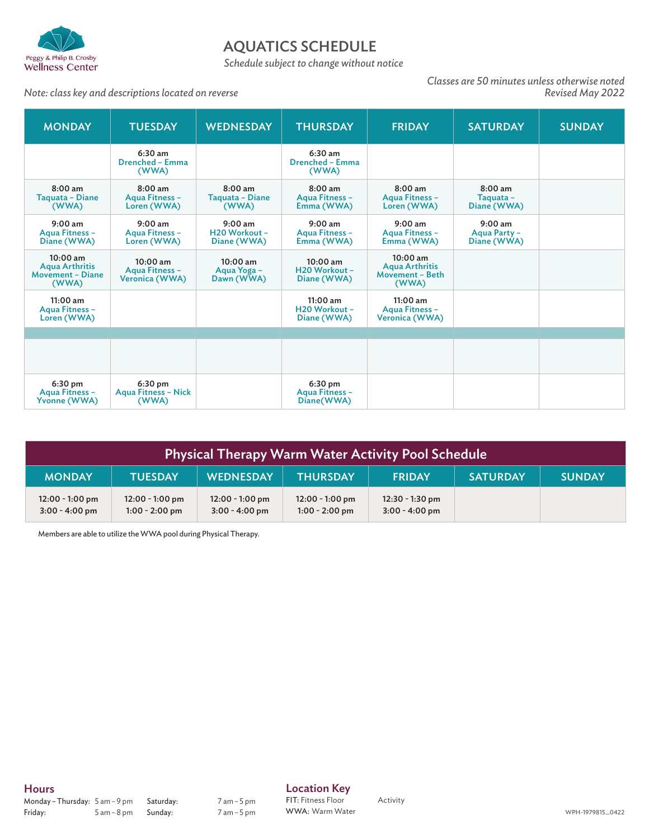

# AQUATICS SCHEDULE

*Schedule subject to change without notice*

#### *Note: class key and descriptions located on reverse*

*Classes are 50 minutes unless otherwise noted*

| <b>MONDAY</b>                                                           | <b>TUESDAY</b>                                 | <b>WEDNESDAY</b>                          | <b>THURSDAY</b>                                   | <b>FRIDAY</b>                                                   | <b>SATURDAY</b>                          | <b>SUNDAY</b> |
|-------------------------------------------------------------------------|------------------------------------------------|-------------------------------------------|---------------------------------------------------|-----------------------------------------------------------------|------------------------------------------|---------------|
|                                                                         | $6:30$ am<br><b>Drenched - Emma</b><br>(WWA)   |                                           | $6:30$ am<br><b>Drenched - Emma</b><br>(WWA)      |                                                                 |                                          |               |
| $8:00$ am<br>Taquata - Diane<br>(WWA)                                   | $8:00$ am<br>Aqua Fitness -<br>Loren (WWA)     | $8:00$ am<br>Taquata - Diane<br>(WWA)     | $8:00$ am<br>Aqua Fitness -<br>Emma (WWA)         | 8:00 am<br>Aqua Fitness -<br>Loren (WWA)                        | 8:00 am<br>Taquata -<br>Diane (WWA)      |               |
| $9:00$ am<br>Agua Fitness -<br>Diane (WWA)                              | $9:00$ am<br>Agua Fitness -<br>Loren (WWA)     | $9:00$ am<br>H20 Workout -<br>Diane (WWA) | $9:00$ am<br>Aqua Fitness -<br>Emma (WWA)         | $9:00$ am<br><b>Agua Fitness -</b><br>Emma (WWA)                | $9:00$ am<br>Aqua Party -<br>Diane (WWA) |               |
| $10:00$ am<br><b>Agua Arthritis</b><br><b>Movement - Diane</b><br>(WWA) | $10:00$ am<br>Aqua Fitness -<br>Veronica (WWA) | 10:00 am<br>Aqua Yoga -<br>Dawn (WWA)     | 10:00 am<br>H20 Workout -<br>Diane (WWA)          | $10:00$ am<br><b>Agua Arthritis</b><br>Movement - Beth<br>(WWA) |                                          |               |
| 11:00 am<br>Aqua Fitness -<br>Loren (WWA)                               |                                                |                                           | 11:00 am<br>H20 Workout -<br>Diane (WWA)          | 11:00 am<br>Aqua Fitness -<br>Veronica (WWA)                    |                                          |               |
|                                                                         |                                                |                                           |                                                   |                                                                 |                                          |               |
|                                                                         |                                                |                                           |                                                   |                                                                 |                                          |               |
| 6:30 pm<br>Aqua Fitness -<br>Yvonne (WWA)                               | 6:30 pm<br><b>Agua Fitness - Nick</b><br>(WWA) |                                           | $6:30 \text{ pm}$<br>Agua Fitness -<br>Diane(WWA) |                                                                 |                                          |               |

| Physical Therapy Warm Water Activity Pool Schedule |                                       |                                       |                                       |                                       |                 |               |
|----------------------------------------------------|---------------------------------------|---------------------------------------|---------------------------------------|---------------------------------------|-----------------|---------------|
| <b>MONDAY</b>                                      | <b>TUESDAY</b>                        | <b>WEDNESDAY</b>                      | <b>THURSDAY</b>                       | <b>FRIDAY</b>                         | <b>SATURDAY</b> | <b>SUNDAY</b> |
| $12:00 - 1:00$ pm<br>$3:00 - 4:00$ pm              | $12:00 - 1:00$ pm<br>$1:00 - 2:00$ pm | $12:00 - 1:00$ pm<br>$3:00 - 4:00$ pm | $12:00 - 1:00$ pm<br>$1:00 - 2:00$ pm | $12:30 - 1:30$ pm<br>$3:00 - 4:00$ pm |                 |               |

Members are able to utilize the WWA pool during Physical Therapy.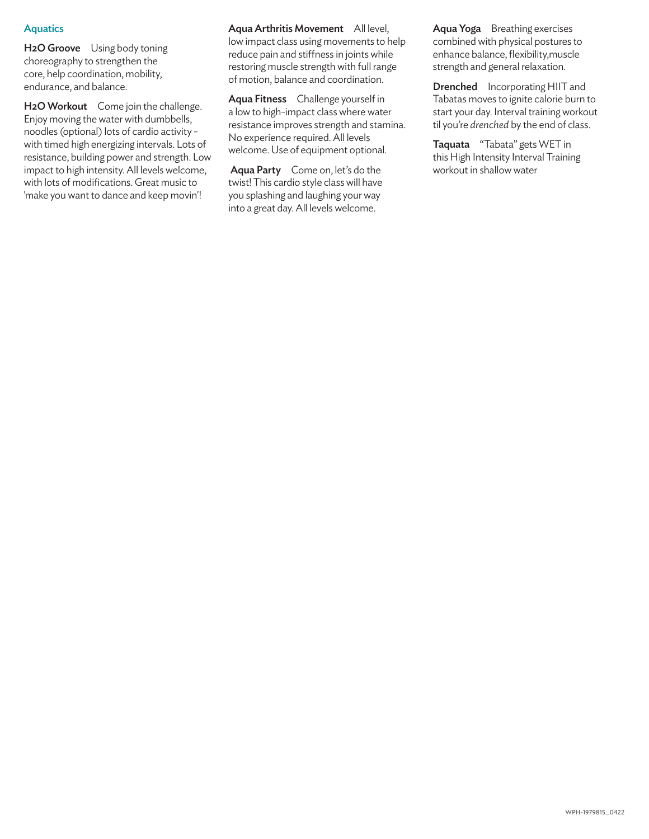### **Aquatics**

H<sub>2</sub>O Groove Using body toning choreography to strengthen the core, help coordination, mobility, endurance, and balance.

H<sub>2</sub>O Workout Come join the challenge. Enjoy moving the water with dumbbells, noodles (optional) lots of cardio activity with timed high energizing intervals. Lots of resistance, building power and strength. Low impact to high intensity. All levels welcome, with lots of modifications. Great music to 'make you want to dance and keep movin'!

Aqua Arthritis Movement All level, low impact class using movements to help reduce pain and stiffness in joints while restoring muscle strength with full range of motion, balance and coordination.

Aqua Fitness Challenge yourself in a low to high-impact class where water resistance improves strength and stamina. No experience required. All levels welcome. Use of equipment optional.

Aqua Party Come on, let's do the twist! This cardio style class will have you splashing and laughing your way into a great day. All levels welcome.

Aqua Yoga Breathing exercises combined with physical postures to enhance balance, flexibility,muscle strength and general relaxation.

Drenched Incorporating HIIT and Tabatas moves to ignite calorie burn to start your day. Interval training workout til you're *drenched* by the end of class.

Taquata "Tabata" gets WET in this High Intensity Interval Training workout in shallow water